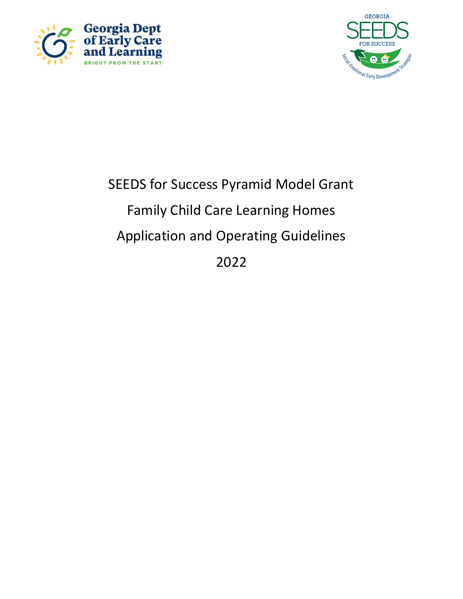



# SEEDS for Success Pyramid Model Grant Family Child Care Learning Homes Application and Operating Guidelines 2022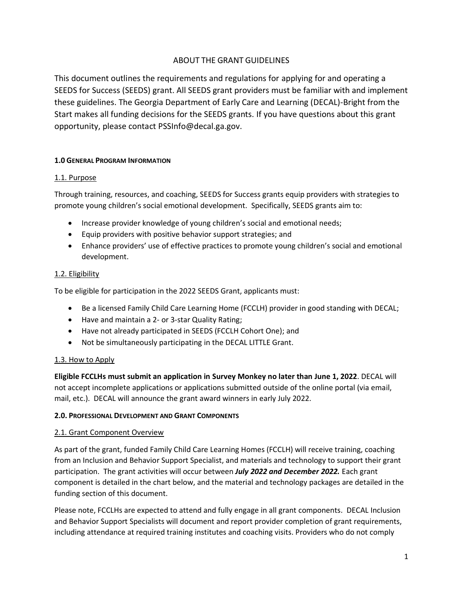## ABOUT THE GRANT GUIDELINES

This document outlines the requirements and regulations for applying for and operating a SEEDS for Success (SEEDS) grant. All SEEDS grant providers must be familiar with and implement these guidelines. The Georgia Department of Early Care and Learning (DECAL)-Bright from the Start makes all funding decisions for the SEEDS grants. If you have questions about this grant opportunity, please contact PSSInfo@decal.ga.gov.

## **1.0 GENERAL PROGRAM INFORMATION**

#### 1.1. Purpose

Through training, resources, and coaching, SEEDS for Success grants equip providers with strategies to promote young children's social emotional development. Specifically, SEEDS grants aim to:

- Increase provider knowledge of young children's social and emotional needs;
- Equip providers with positive behavior support strategies; and
- Enhance providers' use of effective practices to promote young children's social and emotional development.

#### 1.2. Eligibility

To be eligible for participation in the 2022 SEEDS Grant, applicants must:

- Be a licensed Family Child Care Learning Home (FCCLH) provider in good standing with DECAL;
- Have and maintain a 2- or 3-star Quality Rating;
- Have not already participated in SEEDS (FCCLH Cohort One); and
- Not be simultaneously participating in the DECAL LITTLE Grant.

## 1.3. How to Apply

**Eligible FCCLHs must submit an application in Survey Monkey no later than June 1, 2022**. DECAL will not accept incomplete applications or applications submitted outside of the online portal (via email, mail, etc.). DECAL will announce the grant award winners in early July 2022.

#### **2.0. PROFESSIONAL DEVELOPMENT AND GRANT COMPONENTS**

## 2.1. Grant Component Overview

As part of the grant, funded Family Child Care Learning Homes (FCCLH) will receive training, coaching from an Inclusion and Behavior Support Specialist, and materials and technology to support their grant participation. The grant activities will occur between *July 2022 and December 2022.* Each grant component is detailed in the chart below, and the material and technology packages are detailed in the funding section of this document.

Please note, FCCLHs are expected to attend and fully engage in all grant components. DECAL Inclusion and Behavior Support Specialists will document and report provider completion of grant requirements, including attendance at required training institutes and coaching visits. Providers who do not comply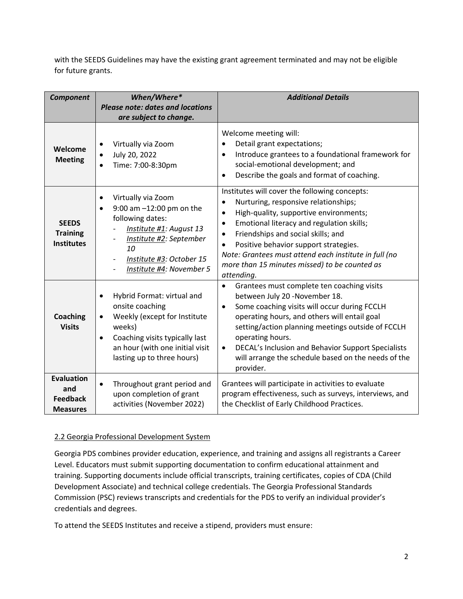with the SEEDS Guidelines may have the existing grant agreement terminated and may not be eligible for future grants.

| <b>Component</b>                                               | When/Where*<br><b>Please note: dates and locations</b><br>are subject to change.                                                                                                                                                  | <b>Additional Details</b>                                                                                                                                                                                                                                                                                                                                                                                                                            |
|----------------------------------------------------------------|-----------------------------------------------------------------------------------------------------------------------------------------------------------------------------------------------------------------------------------|------------------------------------------------------------------------------------------------------------------------------------------------------------------------------------------------------------------------------------------------------------------------------------------------------------------------------------------------------------------------------------------------------------------------------------------------------|
| Welcome<br><b>Meeting</b>                                      | Virtually via Zoom<br>$\bullet$<br>July 20, 2022<br>Time: 7:00-8:30pm                                                                                                                                                             | Welcome meeting will:<br>Detail grant expectations;<br>Introduce grantees to a foundational framework for<br>$\bullet$<br>social-emotional development; and<br>Describe the goals and format of coaching.                                                                                                                                                                                                                                            |
| <b>SEEDS</b><br><b>Training</b><br><b>Institutes</b>           | Virtually via Zoom<br>9:00 am $-12:00$ pm on the<br>following dates:<br>Institute #1: August 13<br>Institute #2: September<br>10<br>Institute #3: October 15<br>Institute #4: November 5                                          | Institutes will cover the following concepts:<br>Nurturing, responsive relationships;<br>$\bullet$<br>High-quality, supportive environments;<br>$\bullet$<br>Emotional literacy and regulation skills;<br>$\bullet$<br>Friendships and social skills; and<br>$\bullet$<br>Positive behavior support strategies.<br>$\bullet$<br>Note: Grantees must attend each institute in full (no<br>more than 15 minutes missed) to be counted as<br>attending. |
| <b>Coaching</b><br><b>Visits</b>                               | Hybrid Format: virtual and<br>$\bullet$<br>onsite coaching<br>Weekly (except for Institute<br>$\bullet$<br>weeks)<br>Coaching visits typically last<br>$\bullet$<br>an hour (with one initial visit<br>lasting up to three hours) | Grantees must complete ten coaching visits<br>$\bullet$<br>between July 20 -November 18.<br>Some coaching visits will occur during FCCLH<br>$\bullet$<br>operating hours, and others will entail goal<br>setting/action planning meetings outside of FCCLH<br>operating hours.<br>DECAL's Inclusion and Behavior Support Specialists<br>$\bullet$<br>will arrange the schedule based on the needs of the<br>provider.                                |
| <b>Evaluation</b><br>and<br><b>Feedback</b><br><b>Measures</b> | Throughout grant period and<br>upon completion of grant<br>activities (November 2022)                                                                                                                                             | Grantees will participate in activities to evaluate<br>program effectiveness, such as surveys, interviews, and<br>the Checklist of Early Childhood Practices.                                                                                                                                                                                                                                                                                        |

## 2.2 Georgia Professional Development System

Georgia PDS combines provider education, experience, and training and assigns all registrants a Career Level. Educators must submit supporting documentation to confirm educational attainment and training. Supporting documents include official transcripts, training certificates, copies of CDA (Child Development Associate) and technical college credentials. The Georgia Professional Standards Commission (PSC) reviews transcripts and credentials for the PDS to verify an individual provider's credentials and degrees.

To attend the SEEDS Institutes and receive a stipend, providers must ensure: